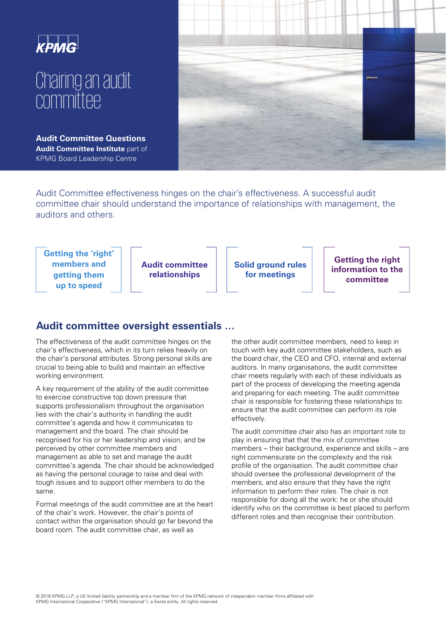

# Chairing an audit committee

**Audit Committee Questions Audit Committee Institute** part of KPMG Board Leadership Centre



Audit Committee effectiveness hinges on the chair's effectiveness. A successful audit committee chair should understand the importance of relationships with management, the auditors and others.

**Getting the 'right' members and getting them up to speed**

**Audit committee relationships** 

**Solid ground rules for meetings** 

**Getting the right information to the committee** 

# **Audit committee oversight essentials …**

The effectiveness of the audit committee hinges on the chair's effectiveness, which in its turn relies heavily on the chair's personal attributes. Strong personal skills are crucial to being able to build and maintain an effective working environment.

A key requirement of the ability of the audit committee to exercise constructive top down pressure that supports professionalism throughout the organisation lies with the chair's authority in handling the audit committee's agenda and how it communicates to management and the board. The chair should be recognised for his or her leadership and vision, and be perceived by other committee members and management as able to set and manage the audit committee's agenda. The chair should be acknowledged as having the personal courage to raise and deal with tough issues and to support other members to do the same.

Formal meetings of the audit committee are at the heart of the chair's work. However, the chair's points of contact within the organisation should go far beyond the board room. The audit committee chair, as well as

the other audit committee members, need to keep in touch with key audit committee stakeholders, such as the board chair, the CEO and CFO, internal and external auditors. In many organisations, the audit committee chair meets regularly with each of these individuals as part of the process of developing the meeting agenda and preparing for each meeting. The audit committee chair is responsible for fostering these relationships to ensure that the audit committee can perform its role effectively.

The audit committee chair also has an important role to play in ensuring that that the mix of committee members – their background, experience and skills – are right commensurate on the complexity and the risk profile of the organisation. The audit committee chair should oversee the professional development of the members, and also ensure that they have the right information to perform their roles. The chair is not responsible for doing all the work: he or she should identify who on the committee is best placed to perform different roles and then recognise their contribution.